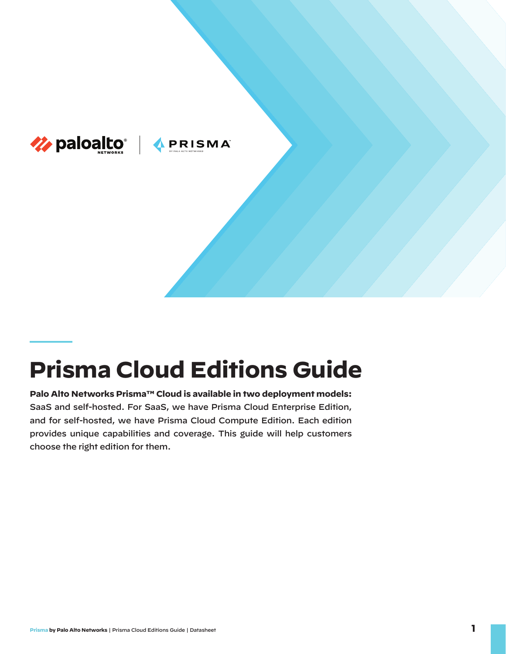

## **Prisma Cloud Editions Guide**

**Palo Alto Networks Prisma™ Cloud is available in two deployment models:**  SaaS and self-hosted. For SaaS, we have Prisma Cloud Enterprise Edition, and for self-hosted, we have Prisma Cloud Compute Edition. Each edition provides unique capabilities and coverage. This guide will help customers choose the right edition for them.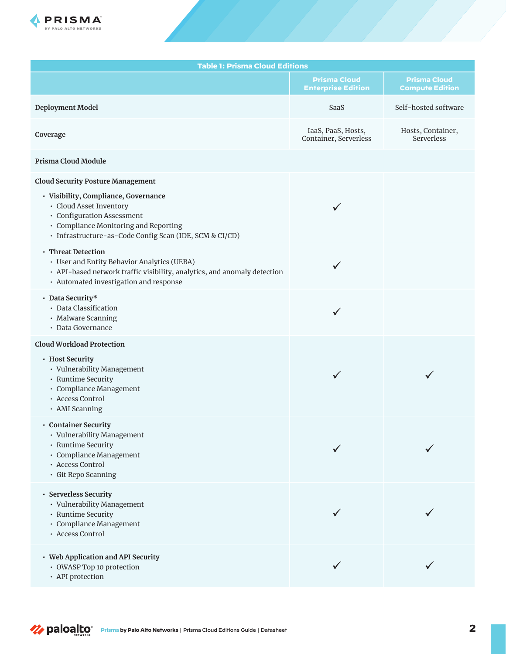

| <b>Table 1: Prisma Cloud Editions</b>                                                                                                                                                                                                         |                                                  |                                               |  |
|-----------------------------------------------------------------------------------------------------------------------------------------------------------------------------------------------------------------------------------------------|--------------------------------------------------|-----------------------------------------------|--|
|                                                                                                                                                                                                                                               | <b>Prisma Cloud</b><br><b>Enterprise Edition</b> | <b>Prisma Cloud</b><br><b>Compute Edition</b> |  |
| Deployment Model                                                                                                                                                                                                                              | SaaS                                             | Self-hosted software                          |  |
| Coverage                                                                                                                                                                                                                                      | IaaS, PaaS, Hosts,<br>Container, Serverless      | Hosts, Container,<br>Serverless               |  |
| Prisma Cloud Module                                                                                                                                                                                                                           |                                                  |                                               |  |
| <b>Cloud Security Posture Management</b><br>· Visibility, Compliance, Governance<br>· Cloud Asset Inventory<br>· Configuration Assessment<br>• Compliance Monitoring and Reporting<br>· Infrastructure-as-Code Config Scan (IDE, SCM & CI/CD) | ✓                                                |                                               |  |
| • Threat Detection<br>• User and Entity Behavior Analytics (UEBA)<br>· API-based network traffic visibility, analytics, and anomaly detection<br>· Automated investigation and response                                                       | ✓                                                |                                               |  |
| • Data Security*<br>· Data Classification<br>· Malware Scanning<br>· Data Governance                                                                                                                                                          | ✓                                                |                                               |  |
| <b>Cloud Workload Protection</b><br>• Host Security<br>• Vulnerability Management<br>• Runtime Security<br>· Compliance Management<br>· Access Control<br>· AMI Scanning                                                                      | ✓                                                |                                               |  |
| • Container Security<br>• Vulnerability Management<br>· Runtime Security<br>· Compliance Management<br>· Access Control<br>· Git Repo Scanning                                                                                                |                                                  |                                               |  |
| • Serverless Security<br>• Vulnerability Management<br>· Runtime Security<br>· Compliance Management<br>· Access Control                                                                                                                      |                                                  |                                               |  |
| • Web Application and API Security<br>• OWASP Top 10 protection<br>• API protection                                                                                                                                                           |                                                  |                                               |  |